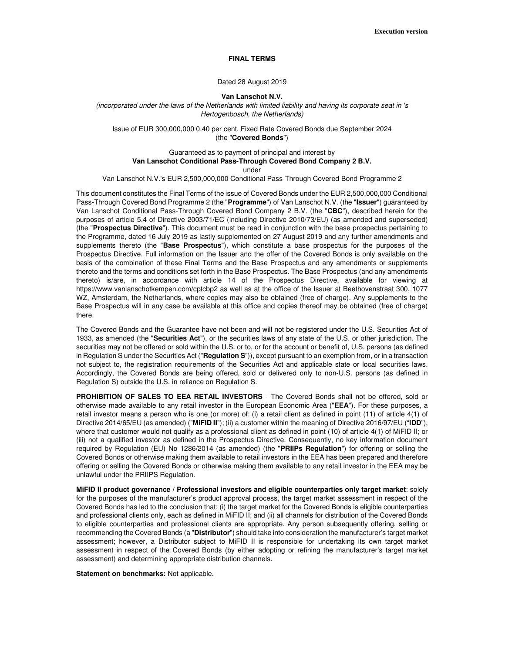**Execution version** 

### **FINAL TERMS**

## Dated 28 August 2019

#### **Van Lanschot N.V.**

(incorporated under the laws of the Netherlands with limited liability and having its corporate seat in 's Hertogenbosch, the Netherlands)

Issue of EUR 300,000,000 0.40 per cent. Fixed Rate Covered Bonds due September 2024 (the "**Covered Bonds**")

Guaranteed as to payment of principal and interest by **Van Lanschot Conditional Pass-Through Covered Bond Company 2 B.V.**  under

Van Lanschot N.V.'s EUR 2,500,000,000 Conditional Pass-Through Covered Bond Programme 2

This document constitutes the Final Terms of the issue of Covered Bonds under the EUR 2,500,000,000 Conditional Pass-Through Covered Bond Programme 2 (the "**Programme**") of Van Lanschot N.V. (the "**Issuer**") guaranteed by Van Lanschot Conditional Pass-Through Covered Bond Company 2 B.V. (the "**CBC**"), described herein for the purposes of article 5.4 of Directive 2003/71/EC (including Directive 2010/73/EU) (as amended and superseded) (the "**Prospectus Directive**"). This document must be read in conjunction with the base prospectus pertaining to the Programme, dated 16 July 2019 as lastly supplemented on 27 August 2019 and any further amendments and supplements thereto (the "**Base Prospectus**"), which constitute a base prospectus for the purposes of the Prospectus Directive. Full information on the Issuer and the offer of the Covered Bonds is only available on the basis of the combination of these Final Terms and the Base Prospectus and any amendments or supplements thereto and the terms and conditions set forth in the Base Prospectus. The Base Prospectus (and any amendments thereto) is/are, in accordance with article 14 of the Prospectus Directive, available for viewing at https://www.vanlanschotkempen.com/cptcbp2 as well as at the office of the Issuer at Beethovenstraat 300, 1077 WZ, Amsterdam, the Netherlands, where copies may also be obtained (free of charge). Any supplements to the Base Prospectus will in any case be available at this office and copies thereof may be obtained (free of charge) there.

The Covered Bonds and the Guarantee have not been and will not be registered under the U.S. Securities Act of 1933, as amended (the "**Securities Act**"), or the securities laws of any state of the U.S. or other jurisdiction. The securities may not be offered or sold within the U.S. or to, or for the account or benefit of, U.S. persons (as defined in Regulation S under the Securities Act ("**Regulation S**")), except pursuant to an exemption from, or in a transaction not subject to, the registration requirements of the Securities Act and applicable state or local securities laws. Accordingly, the Covered Bonds are being offered, sold or delivered only to non-U.S. persons (as defined in Regulation S) outside the U.S. in reliance on Regulation S.

**PROHIBITION OF SALES TO EEA RETAIL INVESTORS** - The Covered Bonds shall not be offered, sold or otherwise made available to any retail investor in the European Economic Area ("**EEA**"). For these purposes, a retail investor means a person who is one (or more) of: (i) a retail client as defined in point (11) of article 4(1) of Directive 2014/65/EU (as amended) ("**MiFID II**"); (ii) a customer within the meaning of Directive 2016/97/EU ("**IDD**"), where that customer would not qualify as a professional client as defined in point (10) of article 4(1) of MiFID II; or (iii) not a qualified investor as defined in the Prospectus Directive. Consequently, no key information document required by Regulation (EU) No 1286/2014 (as amended) (the "**PRIIPs Regulation**") for offering or selling the Covered Bonds or otherwise making them available to retail investors in the EEA has been prepared and therefore offering or selling the Covered Bonds or otherwise making them available to any retail investor in the EEA may be unlawful under the PRIIPS Regulation.

**MiFID II product governance / Professional investors and eligible counterparties only target market**: solely for the purposes of the manufacturer's product approval process, the target market assessment in respect of the Covered Bonds has led to the conclusion that: (i) the target market for the Covered Bonds is eligible counterparties and professional clients only, each as defined in MiFID II; and (ii) all channels for distribution of the Covered Bonds to eligible counterparties and professional clients are appropriate. Any person subsequently offering, selling or recommending the Covered Bonds (a "**Distributor**") should take into consideration the manufacturer's target market assessment; however, a Distributor subject to MiFID II is responsible for undertaking its own target market assessment in respect of the Covered Bonds (by either adopting or refining the manufacturer's target market assessment) and determining appropriate distribution channels.

**Statement on benchmarks:** Not applicable.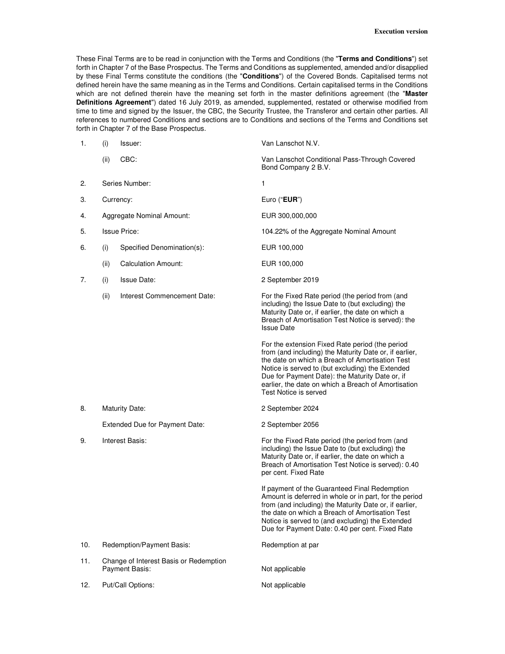These Final Terms are to be read in conjunction with the Terms and Conditions (the "**Terms and Conditions**") set forth in Chapter 7 of the Base Prospectus. The Terms and Conditions as supplemented, amended and/or disapplied by these Final Terms constitute the conditions (the "**Conditions**") of the Covered Bonds. Capitalised terms not defined herein have the same meaning as in the Terms and Conditions. Certain capitalised terms in the Conditions which are not defined therein have the meaning set forth in the master definitions agreement (the "**Master Definitions Agreement**") dated 16 July 2019, as amended, supplemented, restated or otherwise modified from time to time and signed by the Issuer, the CBC, the Security Trustee, the Transferor and certain other parties. All references to numbered Conditions and sections are to Conditions and sections of the Terms and Conditions set forth in Chapter 7 of the Base Prospectus.

| 1.  | (i)                                                             | Issuer:                     | Van Lanschot N.V.                                                                                                                                                                                                                                                                                                                                   |
|-----|-----------------------------------------------------------------|-----------------------------|-----------------------------------------------------------------------------------------------------------------------------------------------------------------------------------------------------------------------------------------------------------------------------------------------------------------------------------------------------|
|     | (ii)                                                            | CBC:                        | Van Lanschot Conditional Pass-Through Covered<br>Bond Company 2 B.V.                                                                                                                                                                                                                                                                                |
| 2.  | Series Number:                                                  |                             | 1                                                                                                                                                                                                                                                                                                                                                   |
| З.  | Currency:                                                       |                             | Euro ("EUR")                                                                                                                                                                                                                                                                                                                                        |
| 4.  | Aggregate Nominal Amount:                                       |                             | EUR 300,000,000                                                                                                                                                                                                                                                                                                                                     |
| 5.  | <b>Issue Price:</b>                                             |                             | 104.22% of the Aggregate Nominal Amount                                                                                                                                                                                                                                                                                                             |
| 6.  | (i)                                                             | Specified Denomination(s):  | EUR 100,000                                                                                                                                                                                                                                                                                                                                         |
|     | (ii)                                                            | <b>Calculation Amount:</b>  | EUR 100,000                                                                                                                                                                                                                                                                                                                                         |
| 7.  | (i)                                                             | <b>Issue Date:</b>          | 2 September 2019                                                                                                                                                                                                                                                                                                                                    |
|     | (ii)                                                            | Interest Commencement Date: | For the Fixed Rate period (the period from (and<br>including) the Issue Date to (but excluding) the<br>Maturity Date or, if earlier, the date on which a<br>Breach of Amortisation Test Notice is served): the<br><b>Issue Date</b>                                                                                                                 |
|     |                                                                 |                             | For the extension Fixed Rate period (the period<br>from (and including) the Maturity Date or, if earlier,<br>the date on which a Breach of Amortisation Test<br>Notice is served to (but excluding) the Extended<br>Due for Payment Date): the Maturity Date or, if<br>earlier, the date on which a Breach of Amortisation<br>Test Notice is served |
| 8.  | <b>Maturity Date:</b>                                           |                             | 2 September 2024                                                                                                                                                                                                                                                                                                                                    |
|     | Extended Due for Payment Date:                                  |                             | 2 September 2056                                                                                                                                                                                                                                                                                                                                    |
| 9.  | Interest Basis:                                                 |                             | For the Fixed Rate period (the period from (and<br>including) the Issue Date to (but excluding) the<br>Maturity Date or, if earlier, the date on which a<br>Breach of Amortisation Test Notice is served): 0.40<br>per cent. Fixed Rate                                                                                                             |
|     |                                                                 |                             | If payment of the Guaranteed Final Redemption<br>Amount is deferred in whole or in part, for the period<br>from (and including) the Maturity Date or, if earlier,<br>the date on which a Breach of Amortisation Test<br>Notice is served to (and excluding) the Extended<br>Due for Payment Date: 0.40 per cent. Fixed Rate                         |
| 10. |                                                                 | Redemption/Payment Basis:   | Redemption at par                                                                                                                                                                                                                                                                                                                                   |
| 11. | Change of Interest Basis or Redemption<br><b>Payment Basis:</b> |                             | Not applicable                                                                                                                                                                                                                                                                                                                                      |
| 12. | Put/Call Options:                                               |                             | Not applicable                                                                                                                                                                                                                                                                                                                                      |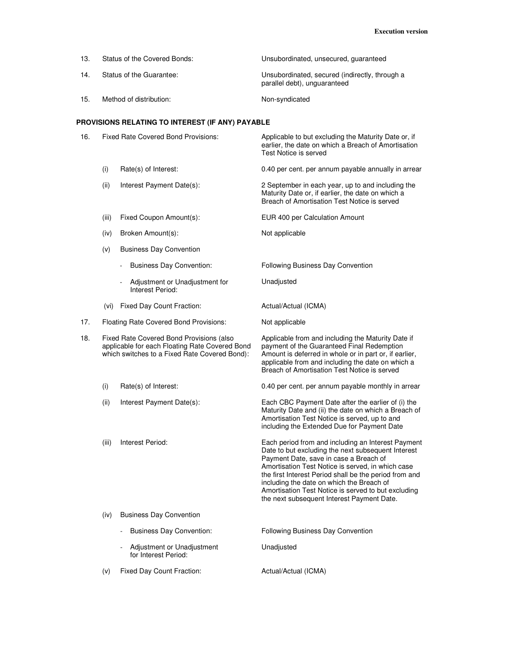| 13.                                              | Status of the Covered Bonds:               | Unsubordinated, unsecured, quaranteed                                          |  |  |
|--------------------------------------------------|--------------------------------------------|--------------------------------------------------------------------------------|--|--|
| 14.                                              | Status of the Guarantee:                   | Unsubordinated, secured (indirectly, through a<br>parallel debt), unquaranteed |  |  |
| 15.                                              | Method of distribution:                    | Non-syndicated                                                                 |  |  |
| PROVISIONS RELATING TO INTEREST (IF ANY) PAYABLE |                                            |                                                                                |  |  |
| 16.                                              | <b>Fixed Rate Covered Bond Provisions:</b> | Applicable to but excluding the Maturity Date or, if                           |  |  |

earlier, the date on which a Breach of Amortisation Test Notice is served (i) Rate(s) of Interest: 0.40 per cent. per annum payable annually in arrear (ii) Interest Payment Date(s): 2 September in each year, up to and including the Maturity Date or, if earlier, the date on which a Breach of Amortisation Test Notice is served (iii) Fixed Coupon Amount(s): EUR 400 per Calculation Amount (iv) Broken Amount(s): Not applicable (v) Business Day Convention - Business Day Convention: Following Business Day Convention Adjustment or Unadjustment for Interest Period: Unadjusted (vi) Fixed Day Count Fraction: Actual/Actual (ICMA) 17. Floating Rate Covered Bond Provisions: Not applicable 18. Fixed Rate Covered Bond Provisions (also applicable for each Floating Rate Covered Bond which switches to a Fixed Rate Covered Bond): Applicable from and including the Maturity Date if payment of the Guaranteed Final Redemption Amount is deferred in whole or in part or, if earlier, applicable from and including the date on which a Breach of Amortisation Test Notice is served (i) Rate(s) of Interest: 0.40 per cent. per annum payable monthly in arrear (ii) Interest Payment Date(s): Each CBC Payment Date after the earlier of (i) the Maturity Date and (ii) the date on which a Breach of Amortisation Test Notice is served, up to and including the Extended Due for Payment Date (iii) Interest Period: Each period from and including an Interest Payment Date to but excluding the next subsequent Interest Payment Date, save in case a Breach of Amortisation Test Notice is served, in which case the first Interest Period shall be the period from and including the date on which the Breach of Amortisation Test Notice is served to but excluding the next subsequent Interest Payment Date.

- (iv) Business Day Convention
	- Business Day Convention: Following Business Day Convention Adjustment or Unadjustment for Interest Period: Unadjusted
- (v) Fixed Day Count Fraction: Actual/Actual (ICMA)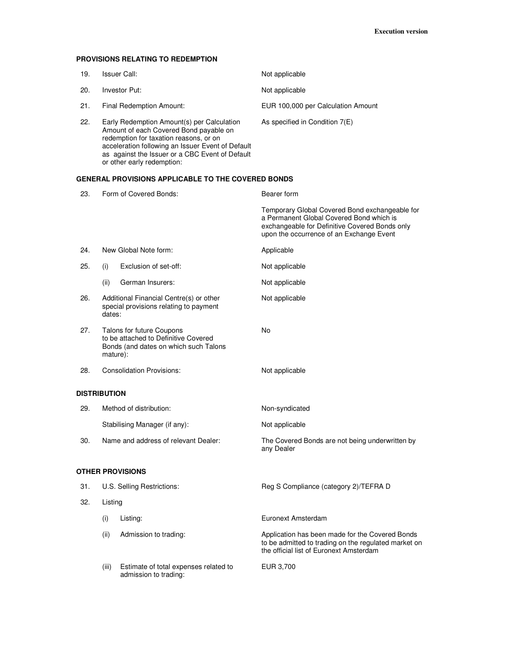## **PROVISIONS RELATING TO REDEMPTION**

admission to trading:

| 19. | Issuer Call:                                                                                                                                                                                                                                                         | Not applicable                     |
|-----|----------------------------------------------------------------------------------------------------------------------------------------------------------------------------------------------------------------------------------------------------------------------|------------------------------------|
| 20. | Investor Put:                                                                                                                                                                                                                                                        | Not applicable                     |
| 21. | Final Redemption Amount:                                                                                                                                                                                                                                             | EUR 100,000 per Calculation Amount |
| 22. | Early Redemption Amount(s) per Calculation<br>Amount of each Covered Bond payable on<br>redemption for taxation reasons, or on<br>acceleration following an Issuer Event of Default<br>as against the Issuer or a CBC Event of Default<br>or other early redemption: | As specified in Condition $7(E)$   |

# **GENERAL PROVISIONS APPLICABLE TO THE COVERED BONDS**

| 23.                 | Form of Covered Bonds:                                                                                                 |                                       | Bearer form                                                                                                                                                                              |  |
|---------------------|------------------------------------------------------------------------------------------------------------------------|---------------------------------------|------------------------------------------------------------------------------------------------------------------------------------------------------------------------------------------|--|
|                     |                                                                                                                        |                                       | Temporary Global Covered Bond exchangeable for<br>a Permanent Global Covered Bond which is<br>exchangeable for Definitive Covered Bonds only<br>upon the occurrence of an Exchange Event |  |
| 24.                 | New Global Note form:                                                                                                  |                                       | Applicable                                                                                                                                                                               |  |
| 25.                 | (i)                                                                                                                    | Exclusion of set-off:                 | Not applicable                                                                                                                                                                           |  |
|                     | (ii)                                                                                                                   | German Insurers:                      | Not applicable                                                                                                                                                                           |  |
| 26.                 | Additional Financial Centre(s) or other<br>special provisions relating to payment<br>dates:                            |                                       | Not applicable                                                                                                                                                                           |  |
| 27.                 | Talons for future Coupons<br>to be attached to Definitive Covered<br>Bonds (and dates on which such Talons<br>mature): |                                       | No                                                                                                                                                                                       |  |
| 28.                 |                                                                                                                        | <b>Consolidation Provisions:</b>      | Not applicable                                                                                                                                                                           |  |
| <b>DISTRIBUTION</b> |                                                                                                                        |                                       |                                                                                                                                                                                          |  |
| 29.                 |                                                                                                                        | Method of distribution:               | Non-syndicated                                                                                                                                                                           |  |
|                     |                                                                                                                        | Stabilising Manager (if any):         | Not applicable                                                                                                                                                                           |  |
| 30.                 | Name and address of relevant Dealer:                                                                                   |                                       | The Covered Bonds are not being underwritten by<br>any Dealer                                                                                                                            |  |
|                     |                                                                                                                        | OTHER PROVISIONS                      |                                                                                                                                                                                          |  |
| 31.                 | U.S. Selling Restrictions:                                                                                             |                                       | Reg S Compliance (category 2)/TEFRA D                                                                                                                                                    |  |
| 32.                 | Listing                                                                                                                |                                       |                                                                                                                                                                                          |  |
|                     | (i)                                                                                                                    | Listing:                              | Euronext Amsterdam                                                                                                                                                                       |  |
|                     | (ii)                                                                                                                   | Admission to trading:                 | Application has been made for the Covered Bonds<br>to be admitted to trading on the regulated market on<br>the official list of Euronext Amsterdam                                       |  |
|                     | (iii)                                                                                                                  | Estimate of total expenses related to | EUR 3,700                                                                                                                                                                                |  |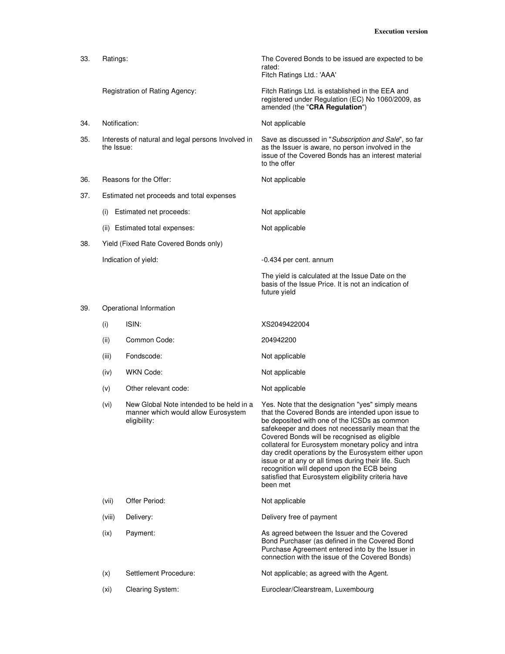| 33. | Ratings:                                                         |                                                                                                 | The Covered Bonds to be issued are expected to be<br>rated:<br>Fitch Ratings Ltd.: 'AAA'                                                                                                                                                                                                                                                                                                                                                                                                                                                           |
|-----|------------------------------------------------------------------|-------------------------------------------------------------------------------------------------|----------------------------------------------------------------------------------------------------------------------------------------------------------------------------------------------------------------------------------------------------------------------------------------------------------------------------------------------------------------------------------------------------------------------------------------------------------------------------------------------------------------------------------------------------|
|     |                                                                  | Registration of Rating Agency:                                                                  | Fitch Ratings Ltd. is established in the EEA and<br>registered under Regulation (EC) No 1060/2009, as<br>amended (the "CRA Regulation")                                                                                                                                                                                                                                                                                                                                                                                                            |
| 34. | Notification:                                                    |                                                                                                 | Not applicable                                                                                                                                                                                                                                                                                                                                                                                                                                                                                                                                     |
| 35. | Interests of natural and legal persons Involved in<br>the Issue: |                                                                                                 | Save as discussed in "Subscription and Sale", so far<br>as the Issuer is aware, no person involved in the<br>issue of the Covered Bonds has an interest material<br>to the offer                                                                                                                                                                                                                                                                                                                                                                   |
| 36. |                                                                  | Reasons for the Offer:                                                                          | Not applicable                                                                                                                                                                                                                                                                                                                                                                                                                                                                                                                                     |
| 37. |                                                                  | Estimated net proceeds and total expenses                                                       |                                                                                                                                                                                                                                                                                                                                                                                                                                                                                                                                                    |
|     | Estimated net proceeds:<br>(i)                                   |                                                                                                 | Not applicable                                                                                                                                                                                                                                                                                                                                                                                                                                                                                                                                     |
|     |                                                                  | (ii) Estimated total expenses:                                                                  | Not applicable                                                                                                                                                                                                                                                                                                                                                                                                                                                                                                                                     |
| 38. |                                                                  | Yield (Fixed Rate Covered Bonds only)                                                           |                                                                                                                                                                                                                                                                                                                                                                                                                                                                                                                                                    |
|     |                                                                  | Indication of yield:                                                                            | -0.434 per cent. annum                                                                                                                                                                                                                                                                                                                                                                                                                                                                                                                             |
|     |                                                                  |                                                                                                 | The yield is calculated at the Issue Date on the<br>basis of the Issue Price. It is not an indication of<br>future yield                                                                                                                                                                                                                                                                                                                                                                                                                           |
| 39. |                                                                  | Operational Information                                                                         |                                                                                                                                                                                                                                                                                                                                                                                                                                                                                                                                                    |
|     | (i)                                                              | ISIN:                                                                                           | XS2049422004                                                                                                                                                                                                                                                                                                                                                                                                                                                                                                                                       |
|     | (ii)                                                             | Common Code:                                                                                    | 204942200                                                                                                                                                                                                                                                                                                                                                                                                                                                                                                                                          |
|     | (iii)                                                            | Fondscode:                                                                                      | Not applicable                                                                                                                                                                                                                                                                                                                                                                                                                                                                                                                                     |
|     | (iv)                                                             | <b>WKN Code:</b>                                                                                | Not applicable                                                                                                                                                                                                                                                                                                                                                                                                                                                                                                                                     |
|     | (v)                                                              | Other relevant code:                                                                            | Not applicable                                                                                                                                                                                                                                                                                                                                                                                                                                                                                                                                     |
|     | (vi)                                                             | New Global Note intended to be held in a<br>manner which would allow Eurosystem<br>eligibility: | Yes. Note that the designation "yes" simply means<br>that the Covered Bonds are intended upon issue to<br>be deposited with one of the ICSDs as common<br>safekeeper and does not necessarily mean that the<br>Covered Bonds will be recognised as eligible<br>collateral for Eurosystem monetary policy and intra<br>day credit operations by the Eurosystem either upon<br>issue or at any or all times during their life. Such<br>recognition will depend upon the ECB being<br>satisfied that Eurosystem eligibility criteria have<br>been met |
|     | (vii)                                                            | Offer Period:                                                                                   | Not applicable                                                                                                                                                                                                                                                                                                                                                                                                                                                                                                                                     |
|     | (viii)                                                           | Delivery:                                                                                       | Delivery free of payment                                                                                                                                                                                                                                                                                                                                                                                                                                                                                                                           |
|     | (ix)                                                             | Payment:                                                                                        | As agreed between the Issuer and the Covered<br>Bond Purchaser (as defined in the Covered Bond<br>Purchase Agreement entered into by the Issuer in<br>connection with the issue of the Covered Bonds)                                                                                                                                                                                                                                                                                                                                              |
|     | (x)                                                              | Settlement Procedure:                                                                           | Not applicable; as agreed with the Agent.                                                                                                                                                                                                                                                                                                                                                                                                                                                                                                          |
|     | (x <sub>i</sub> )                                                | Clearing System:                                                                                | Euroclear/Clearstream, Luxembourg                                                                                                                                                                                                                                                                                                                                                                                                                                                                                                                  |